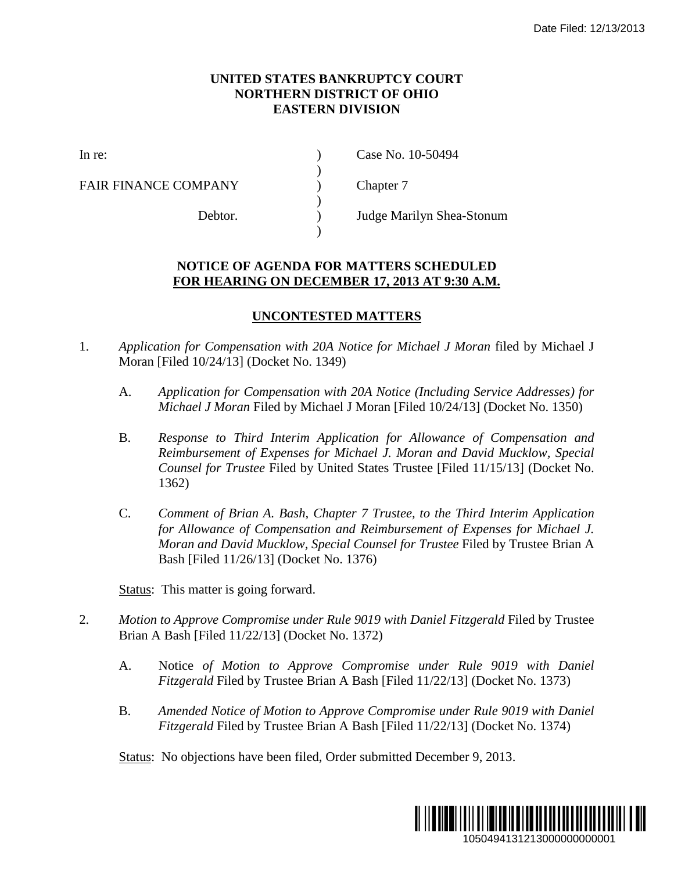## **UNITED STATES BANKRUPTCY COURT NORTHERN DISTRICT OF OHIO EASTERN DIVISION**

)

 $\lambda$ 

)

FAIR FINANCE COMPANY (a) Chapter 7

In re: (a) Case No. 10-50494

Debtor. ) Judge Marilyn Shea-Stonum

## **NOTICE OF AGENDA FOR MATTERS SCHEDULED FOR HEARING ON DECEMBER 17, 2013 AT 9:30 A.M.**

## **UNCONTESTED MATTERS**

- 1. *Application for Compensation with 20A Notice for Michael J Moran* filed by Michael J Moran [Filed 10/24/13] (Docket No. 1349)
	- A. *Application for Compensation with 20A Notice (Including Service Addresses) for Michael J Moran* Filed by Michael J Moran [Filed 10/24/13] (Docket No. 1350)
- B. *Response to Third Interim Application for Allowance of Compensation and Reimbursement of Expenses for Michael J. Moran and David Mucklow, Special Counsel for Trustee* Filed by United States Trustee [Filed 11/15/13] (Docket No. 1362) Date Filed: 12/13/2013<br>
101 MLCD<br>
10 A.M.<br>
107 Stervice Addresses) for<br>
13] (Docket No. 1350)<br>
2 of Compensation and<br>
11/15/13] (Docket No.<br>
11/15/13] (Docket No.<br>
11/15/13] (Docket No.<br>
167 Date Brian A<br>
12<br>
12<br>
12<br>
12<br>
1
	- C. *Comment of Brian A. Bash, Chapter 7 Trustee, to the Third Interim Application for Allowance of Compensation and Reimbursement of Expenses for Michael J. Moran and David Mucklow, Special Counsel for Trustee* Filed by Trustee Brian A Bash [Filed 11/26/13] (Docket No. 1376)

Status: This matter is going forward.

- 2. *Motion to Approve Compromise under Rule 9019 with Daniel Fitzgerald* Filed by Trustee Brian A Bash [Filed 11/22/13] (Docket No. 1372)
	- A. Notice *of Motion to Approve Compromise under Rule 9019 with Daniel Fitzgerald* Filed by Trustee Brian A Bash [Filed 11/22/13] (Docket No. 1373)
	- B. *Amended Notice of Motion to Approve Compromise under Rule 9019 with Daniel Fitzgerald* Filed by Trustee Brian A Bash [Filed 11/22/13] (Docket No. 1374)

Status: No objections have been filed, Order submitted December 9, 2013.